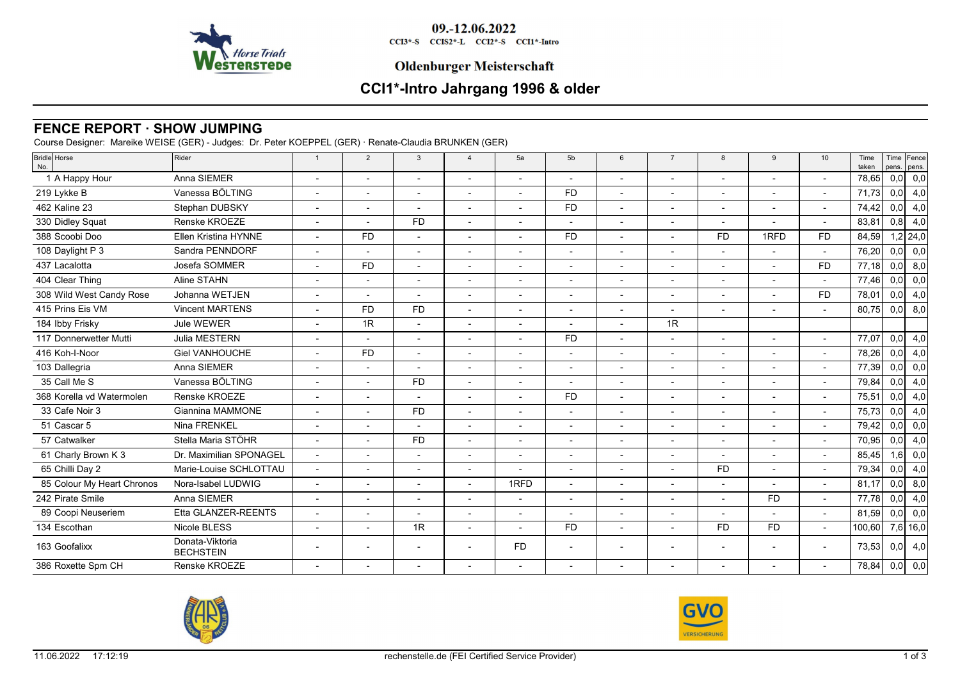

09.-12.06.2022

CCI3\*-S CCIS2\*-L CCI2\*-S CCI1\*-Intro

## **Oldenburger Meisterschaft**

# **CCI1\*-Intro Jahrgang 1996 & older**

# **FENCE REPORT · SHOW JUMPING**

Course Designer: Mareike WEISE (GER) - Judges: Dr. Peter KOEPPEL (GER) · Renate-Claudia BRUNKEN (GER)

| <b>Bridle</b> Horse<br>No. | Rider                               | $\overline{1}$           | 2                        | $\mathbf{3}$             | $\overline{4}$           | 5a                       | 5 <sub>b</sub>           | 6                        | $\overline{7}$           | 8         | 9                        | 10                       | Time<br>taken | pens. | Time Fence<br>pens. |
|----------------------------|-------------------------------------|--------------------------|--------------------------|--------------------------|--------------------------|--------------------------|--------------------------|--------------------------|--------------------------|-----------|--------------------------|--------------------------|---------------|-------|---------------------|
| 1 A Happy Hour             | Anna SIEMER                         |                          |                          |                          |                          |                          |                          | $\overline{\phantom{a}}$ |                          |           |                          | $\blacksquare$           | 78,65         | 0,0   | 0,0                 |
| 219 Lykke B                | Vanessa BÖLTING                     |                          |                          |                          |                          |                          | <b>FD</b>                |                          |                          |           |                          |                          | 71,73         | 0,0   | 4,0                 |
| 462 Kaline 23              | Stephan DUBSKY                      | $\overline{\phantom{a}}$ | $\overline{\phantom{0}}$ | $\overline{\phantom{a}}$ |                          |                          | <b>FD</b>                | $\overline{\phantom{a}}$ | $\overline{\phantom{a}}$ |           |                          | $\overline{\phantom{a}}$ | 74,42         | 0,0   | 4,0                 |
| 330 Didley Squat           | Renske KROEZE                       | $\overline{\phantom{a}}$ |                          | <b>FD</b>                |                          |                          |                          |                          | $\overline{\phantom{a}}$ |           |                          | $\overline{\phantom{a}}$ | 83,81         | 0,8   | 4,0                 |
| 388 Scoobi Doo             | <b>Ellen Kristina HYNNE</b>         |                          | <b>FD</b>                | $\overline{\phantom{a}}$ |                          |                          | <b>FD</b>                | $\overline{\phantom{a}}$ |                          | <b>FD</b> | 1RFD                     | <b>FD</b>                | 84,59         |       | $1,2$ 24,0          |
| 108 Daylight P 3           | Sandra PENNDORF                     |                          |                          | $\sim$                   |                          |                          |                          | $\overline{\phantom{a}}$ |                          |           |                          | $\mathbf{r}$             | 76,20         | 0,0   | 0,0                 |
| 437 Lacalotta              | Josefa SOMMER                       |                          | <b>FD</b>                |                          |                          |                          |                          |                          |                          |           |                          | <b>FD</b>                | 77,18         | 0,0   | 8,0                 |
| 404 Clear Thing            | Aline STAHN                         |                          | $\overline{\phantom{a}}$ | $\overline{\phantom{a}}$ |                          |                          |                          | $\overline{\phantom{a}}$ | $\overline{\phantom{a}}$ |           |                          | $\blacksquare$           | 77,46         | 0,0   | 0,0                 |
| 308 Wild West Candy Rose   | Johanna WETJEN                      |                          |                          |                          |                          |                          |                          |                          |                          |           |                          | <b>FD</b>                | 78,01         | 0,0   | 4,0                 |
| 415 Prins Eis VM           | <b>Vincent MARTENS</b>              | $\overline{a}$           | <b>FD</b>                | <b>FD</b>                | $\overline{\phantom{a}}$ | $\overline{a}$           | $\overline{\phantom{0}}$ | $\overline{\phantom{a}}$ | $\overline{\phantom{a}}$ | $\sim$    | $\overline{\phantom{a}}$ | $\blacksquare$           | 80.75         | 0,0   | 8,0                 |
| 184 Ibby Frisky            | Jule WEWER                          |                          | 1R                       |                          |                          |                          |                          |                          | 1R                       |           |                          |                          |               |       |                     |
| 117 Donnerwetter Mutti     | Julia MESTERN                       |                          |                          |                          |                          |                          | <b>FD</b>                | $\overline{\phantom{a}}$ |                          |           |                          | $\overline{\phantom{a}}$ | 77,07         | 0,0   | 4,0                 |
| 416 Koh-I-Noor             | <b>Giel VANHOUCHE</b>               |                          | <b>FD</b>                | $\overline{\phantom{a}}$ |                          |                          |                          | $\overline{\phantom{a}}$ |                          |           |                          | $\overline{\phantom{a}}$ | 78,26         | 0,0   | 4,0                 |
| 103 Dallegria              | Anna SIEMER                         |                          |                          |                          |                          |                          |                          |                          |                          |           |                          | $\overline{\phantom{a}}$ | 77,39         | 0,0   | 0,0                 |
| 35 Call Me S               | Vanessa BÖLTING                     |                          | $\overline{\phantom{a}}$ | <b>FD</b>                |                          |                          | $\overline{a}$           | $\overline{a}$           | $\overline{\phantom{a}}$ |           | $\overline{a}$           | $\mathbf{r}$             | 79,84         | 0,0   | 4,0                 |
| 368 Korella vd Watermolen  | Renske KROEZE                       |                          |                          |                          |                          |                          | <b>FD</b>                |                          |                          |           |                          |                          | 75,51         | 0,0   | 4,0                 |
| 33 Cafe Noir 3             | Giannina MAMMONE                    | $\overline{\phantom{a}}$ | $\blacksquare$           | <b>FD</b>                |                          | $\overline{\phantom{a}}$ | $\overline{\phantom{a}}$ | $\overline{\phantom{a}}$ |                          |           |                          | $\blacksquare$           | 75,73         | 0,0   | 4,0                 |
| 51 Cascar 5                | Nina FRENKEL                        |                          |                          |                          |                          |                          |                          | $\overline{\phantom{a}}$ |                          |           |                          | $\overline{\phantom{a}}$ | 79,42         | 0,0   | 0,0                 |
| 57 Catwalker               | Stella Maria STÖHR                  |                          |                          | <b>FD</b>                |                          |                          |                          | $\overline{\phantom{a}}$ |                          |           |                          | $\overline{a}$           | 70,95         | 0,0   | 4,0                 |
| 61 Charly Brown K 3        | Dr. Maximilian SPONAGEL             |                          |                          | $\overline{\phantom{a}}$ |                          |                          |                          | $\overline{\phantom{a}}$ |                          |           |                          | $\blacksquare$           | 85,45         | 1,6   | $\overline{0,0}$    |
| 65 Chilli Day 2            | Marie-Louise SCHLOTTAU              |                          |                          |                          |                          |                          |                          |                          |                          | <b>FD</b> |                          | $\overline{\phantom{a}}$ | 79,34         | 0,0   | 4,0                 |
| 85 Colour My Heart Chronos | Nora-Isabel LUDWIG                  | $\overline{\phantom{a}}$ | $\overline{\phantom{a}}$ | $\sim$                   | $\overline{\phantom{0}}$ | 1RFD                     | $\overline{a}$           | $\overline{\phantom{a}}$ | $\overline{\phantom{a}}$ |           |                          | $\overline{a}$           | 81,17         | 0,0   | 8,0                 |
| 242 Pirate Smile           | Anna SIEMER                         |                          |                          |                          |                          |                          |                          |                          |                          |           | <b>FD</b>                | $\overline{\phantom{a}}$ | 77.78         | 0,0   | 4,0                 |
| 89 Coopi Neuseriem         | Etta GLANZER-REENTS                 |                          |                          |                          |                          |                          |                          |                          |                          |           |                          | $\overline{\phantom{a}}$ | 81,59         | 0,0   | 0,0                 |
| 134 Escothan               | Nicole BLESS                        |                          |                          | 1R                       |                          |                          | FD                       | $\overline{\phantom{a}}$ |                          | <b>FD</b> | <b>FD</b>                | $\overline{\phantom{a}}$ | 100,60        |       | $7,6$ 16,0          |
| 163 Goofalixx              | Donata-Viktoria<br><b>BECHSTEIN</b> |                          |                          |                          |                          | <b>FD</b>                |                          |                          |                          |           |                          | $\overline{\phantom{a}}$ | 73,53         | 0, 0  | 4,0                 |
| 386 Roxette Spm CH         | Renske KROEZE                       |                          |                          |                          |                          |                          |                          |                          |                          |           |                          |                          | 78,84         | 0,0   | 0,0                 |
|                            |                                     |                          |                          |                          |                          |                          |                          |                          |                          |           |                          |                          |               |       |                     |



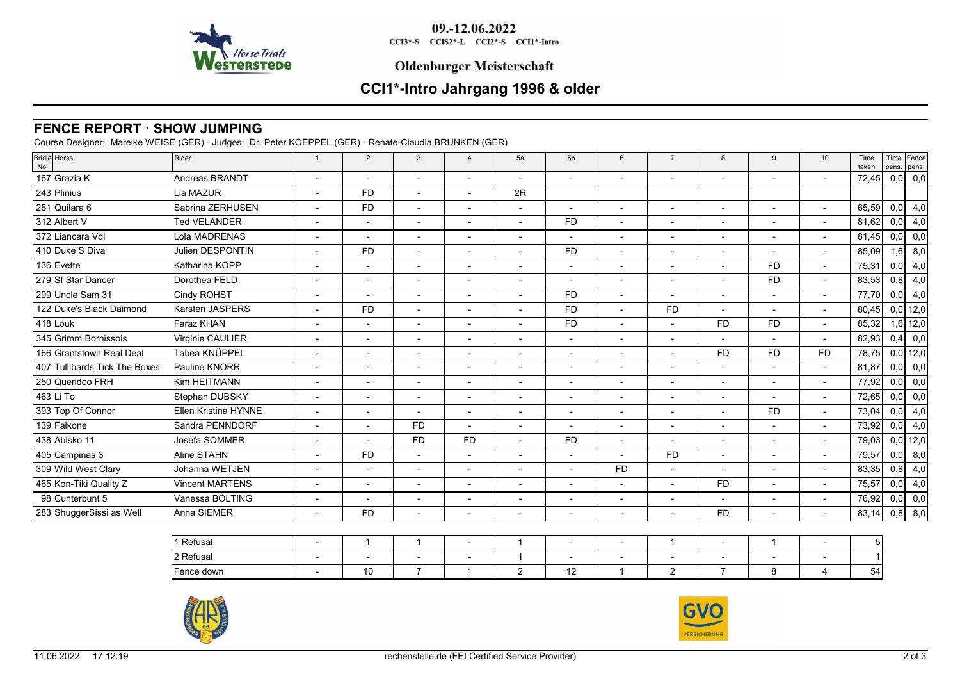

09.-12.06.2022 CCI3\*-S CCIS2\*-L CCI2\*-S CCI1\*-Intro

## **Oldenburger Meisterschaft**

# **CCI1\*-Intro Jahrgang 1996 & older**

# **FENCE REPORT · SHOW JUMPING**

Course Designer: Mareike WEISE (GER) - Judges: Dr. Peter KOEPPEL (GER) · Renate-Claudia BRUNKEN (GER)

| <b>Bridle</b> Horse<br>No.    | Rider                       | $\overline{1}$           | $\overline{2}$           | $\mathbf{3}$             | $\overline{4}$           | 5a                       | 5 <sub>b</sub>           | 6                        | $\overline{7}$           | 8         | 9                        | 10                       | Time<br>taken | pens. pens. | Time Fence |
|-------------------------------|-----------------------------|--------------------------|--------------------------|--------------------------|--------------------------|--------------------------|--------------------------|--------------------------|--------------------------|-----------|--------------------------|--------------------------|---------------|-------------|------------|
| 167 Grazia K                  | Andreas BRANDT              |                          |                          |                          | $\overline{\phantom{0}}$ |                          | $\overline{\phantom{a}}$ |                          |                          |           |                          | $\overline{\phantom{a}}$ | 72,45         | 0,0         | 0,0        |
| 243 Plinius                   | Lia MAZUR                   | $\overline{\phantom{0}}$ | <b>FD</b>                | $\overline{a}$           | $\overline{\phantom{0}}$ | 2R                       |                          |                          |                          |           |                          |                          |               |             |            |
| 251 Quilara 6                 | Sabrina ZERHUSEN            |                          | <b>FD</b>                |                          |                          |                          |                          |                          |                          |           |                          |                          | 65,59         | 0,0         | 4,0        |
| 312 Albert V                  | <b>Ted VELANDER</b>         |                          |                          | $\overline{\phantom{a}}$ | $\overline{\phantom{0}}$ |                          | <b>FD</b>                |                          |                          |           |                          | $\blacksquare$           | 81,62         | 0,0         | 4,0        |
| 372 Liancara Vdl              | Lola MADRENAS               | $\overline{\phantom{0}}$ | $\overline{\phantom{a}}$ | $\overline{a}$           | $\overline{\phantom{a}}$ | $\overline{\phantom{0}}$ | $\overline{\phantom{a}}$ | $\overline{\phantom{a}}$ | $\overline{a}$           |           |                          | $\overline{a}$           | 81,45         | 0,0         | 0,0        |
| 410 Duke S Diva               | Julien DESPONTIN            | $\overline{\phantom{a}}$ | <b>FD</b>                | $\overline{\phantom{a}}$ | $\overline{\phantom{a}}$ | $\overline{\phantom{a}}$ | <b>FD</b>                | $\overline{\phantom{a}}$ | $\blacksquare$           |           |                          | $\overline{\phantom{a}}$ | 85,09         | 1,6         | 8,0        |
| 136 Evette                    | Katharina KOPP              | $\overline{\phantom{a}}$ | $\overline{\phantom{a}}$ | $\overline{a}$           | $\blacksquare$           | $\overline{\phantom{a}}$ | $\overline{\phantom{a}}$ | $\overline{\phantom{a}}$ | $\blacksquare$           |           | <b>FD</b>                | $\overline{\phantom{a}}$ | 75,31         | 0,0         | 4,0        |
| 279 Sf Star Dancer            | Dorothea FELD               | $\overline{\phantom{a}}$ | $\overline{\phantom{a}}$ | $\blacksquare$           | $\overline{\phantom{a}}$ |                          |                          | $\overline{\phantom{a}}$ | $\blacksquare$           |           | <b>FD</b>                | $\blacksquare$           | 83,53         | 0,8         | 4,0        |
| 299 Uncle Sam 31              | Cindy ROHST                 |                          |                          | $\blacksquare$           | $\overline{\phantom{a}}$ |                          | F <sub>D</sub>           | $\blacksquare$           | $\overline{\phantom{a}}$ |           |                          | $\blacksquare$           | 77,70         | 0,0         | 4,0        |
| 122 Duke's Black Daimond      | Karsten JASPERS             |                          | <b>FD</b>                | $\blacksquare$           |                          |                          | FD.                      |                          | <b>FD</b>                |           |                          | $\blacksquare$           | 80,45         |             | $0,0$ 12,0 |
| 418 Louk                      | Faraz KHAN                  | $\overline{\phantom{a}}$ |                          | $\overline{\phantom{0}}$ | $\overline{\phantom{a}}$ | $\overline{\phantom{a}}$ | <b>FD</b>                | $\overline{\phantom{a}}$ | $\overline{\phantom{0}}$ | <b>FD</b> | <b>FD</b>                | $\overline{\phantom{a}}$ | 85,32         |             | $1,6$ 12,0 |
| 345 Grimm Bornissois          | Virginie CAULIER            |                          | $\overline{\phantom{a}}$ |                          | $\overline{\phantom{0}}$ | $\overline{\phantom{0}}$ | $\overline{\phantom{a}}$ |                          | $\overline{\phantom{a}}$ |           |                          | $\overline{\phantom{0}}$ | 82,93         | 0,4         | 0,0        |
| 166 Grantstown Real Deal      | Tabea KNÜPPEL               | $\overline{\phantom{0}}$ | $\overline{\phantom{0}}$ |                          | $\overline{\phantom{a}}$ | $\overline{\phantom{0}}$ | $\overline{\phantom{a}}$ | $\overline{\phantom{0}}$ | $\overline{\phantom{0}}$ | <b>FD</b> | <b>FD</b>                | <b>FD</b>                | 78,75         |             | $0,0$ 12,0 |
| 407 Tullibards Tick The Boxes | Pauline KNORR               |                          |                          |                          | $\overline{\phantom{0}}$ |                          | $\overline{\phantom{0}}$ |                          | $\overline{\phantom{a}}$ |           |                          | $\overline{\phantom{a}}$ | 81,87         | 0,0         | 0,0        |
| 250 Queridoo FRH              | Kim HEITMANN                |                          |                          |                          |                          |                          |                          |                          |                          |           |                          | $\overline{\phantom{a}}$ | 77,92         | 0,0         | 0,0        |
| 463 Li To                     | Stephan DUBSKY              |                          |                          | $\overline{\phantom{0}}$ | $\overline{\phantom{0}}$ |                          |                          |                          | $\overline{\phantom{a}}$ |           |                          | $\blacksquare$           | 72,65         | 0,0         | 0,0        |
| 393 Top Of Connor             | <b>Ellen Kristina HYNNE</b> | $\overline{\phantom{a}}$ | $\overline{\phantom{a}}$ | $\overline{\phantom{0}}$ | $\overline{\phantom{a}}$ | $\overline{\phantom{a}}$ | $\overline{\phantom{0}}$ | $\overline{\phantom{a}}$ | $\overline{\phantom{a}}$ |           | <b>FD</b>                | $\overline{\phantom{a}}$ | 73,04         | 0,0         | 4,0        |
| 139 Falkone                   | Sandra PENNDORF             | $\overline{\phantom{a}}$ | $\overline{\phantom{a}}$ | <b>FD</b>                | $\blacksquare$           | $\overline{\phantom{a}}$ | $\overline{\phantom{a}}$ | $\overline{\phantom{a}}$ | $\blacksquare$           |           | $\overline{a}$           | $\overline{\phantom{a}}$ | 73,92         | 0,0         | 4,0        |
| 438 Abisko 11                 | Josefa SOMMER               | $\overline{\phantom{a}}$ | $\overline{\phantom{a}}$ | <b>FD</b>                | <b>FD</b>                | $\blacksquare$           | <b>FD</b>                | $\overline{\phantom{a}}$ | $\blacksquare$           |           | $\overline{\phantom{a}}$ | $\blacksquare$           | 79,03         |             | $0,0$ 12,0 |
| 405 Campinas 3                | Aline STAHN                 |                          | <b>FD</b>                | $\blacksquare$           | $\blacksquare$           |                          | $\overline{\phantom{a}}$ | $\overline{\phantom{a}}$ | <b>FD</b>                |           | $\overline{\phantom{a}}$ | $\overline{\phantom{a}}$ | 79,57         | 0, 0        | 8,0        |
| 309 Wild West Clary           | Johanna WETJEN              |                          | $\overline{\phantom{a}}$ | $\overline{\phantom{a}}$ |                          |                          | $\overline{\phantom{a}}$ | <b>FD</b>                | $\overline{\phantom{a}}$ |           |                          | $\blacksquare$           | 83,35         | 0,8         | 4,0        |
| 465 Kon-Tiki Quality Z        | <b>Vincent MARTENS</b>      | $\overline{\phantom{0}}$ | $\overline{\phantom{0}}$ | $\overline{a}$           | $\overline{\phantom{0}}$ | $\overline{\phantom{a}}$ | $\overline{\phantom{a}}$ |                          | $\overline{\phantom{a}}$ | <b>FD</b> | $\overline{\phantom{0}}$ | $\overline{\phantom{a}}$ | 75,57         | 0,0         | 4,0        |
| 98 Cunterbunt 5               | Vanessa BÖLTING             | $\overline{\phantom{a}}$ |                          | $\overline{\phantom{a}}$ | $\overline{\phantom{0}}$ | $\overline{\phantom{a}}$ | $\overline{\phantom{0}}$ | $\overline{\phantom{0}}$ | $\overline{\phantom{a}}$ |           | $\overline{a}$           | $\overline{\phantom{a}}$ | 76,92         | 0,0         | 0,0        |
| 283 ShuggerSissi as Well      | Anna SIEMER                 | $\overline{\phantom{0}}$ | <b>FD</b>                | $\overline{\phantom{a}}$ | $\overline{\phantom{a}}$ | $\overline{\phantom{a}}$ | $\blacksquare$           | $\overline{\phantom{0}}$ | $\overline{\phantom{a}}$ | <b>FD</b> | $\overline{\phantom{a}}$ | $\blacksquare$           | 83,14         | 0,8         | 8,0        |

| Refusal    |  |  |  |  |  |  |
|------------|--|--|--|--|--|--|
| 2 Refusal  |  |  |  |  |  |  |
| Fence down |  |  |  |  |  |  |